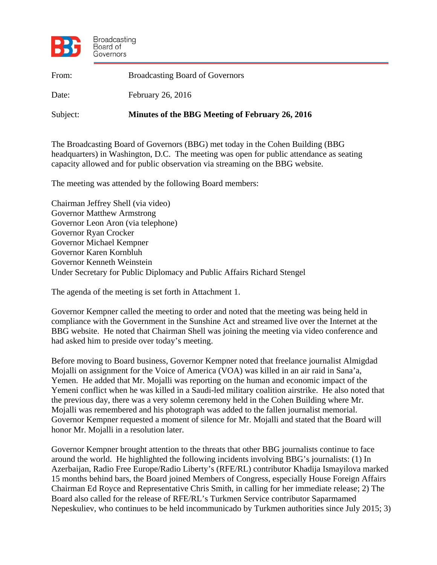

| From:    | <b>Broadcasting Board of Governors</b>          |
|----------|-------------------------------------------------|
| Date:    | February 26, 2016                               |
| Subject: | Minutes of the BBG Meeting of February 26, 2016 |

The Broadcasting Board of Governors (BBG) met today in the Cohen Building (BBG headquarters) in Washington, D.C. The meeting was open for public attendance as seating capacity allowed and for public observation via streaming on the BBG website.

The meeting was attended by the following Board members:

Chairman Jeffrey Shell (via video) Governor Matthew Armstrong Governor Leon Aron (via telephone) Governor Ryan Crocker Governor Michael Kempner Governor Karen Kornbluh Governor Kenneth Weinstein Under Secretary for Public Diplomacy and Public Affairs Richard Stengel

The agenda of the meeting is set forth in Attachment 1.

Governor Kempner called the meeting to order and noted that the meeting was being held in compliance with the Government in the Sunshine Act and streamed live over the Internet at the BBG website. He noted that Chairman Shell was joining the meeting via video conference and had asked him to preside over today's meeting.

Before moving to Board business, Governor Kempner noted that freelance journalist Almigdad Mojalli on assignment for the Voice of America (VOA) was killed in an air raid in Sana'a, Yemen. He added that Mr. Mojalli was reporting on the human and economic impact of the Yemeni conflict when he was killed in a Saudi-led military coalition airstrike. He also noted that the previous day, there was a very solemn ceremony held in the Cohen Building where Mr. Mojalli was remembered and his photograph was added to the fallen journalist memorial. Governor Kempner requested a moment of silence for Mr. Mojalli and stated that the Board will honor Mr. Mojalli in a resolution later.

Governor Kempner brought attention to the threats that other BBG journalists continue to face around the world. He highlighted the following incidents involving BBG's journalists: (1) In Azerbaijan, Radio Free Europe/Radio Liberty's (RFE/RL) contributor Khadija Ismayilova marked 15 months behind bars, the Board joined Members of Congress, especially House Foreign Affairs Chairman Ed Royce and Representative Chris Smith, in calling for her immediate release; 2) The Board also called for the release of RFE/RL's Turkmen Service contributor Saparmamed Nepeskuliev, who continues to be held incommunicado by Turkmen authorities since July 2015; 3)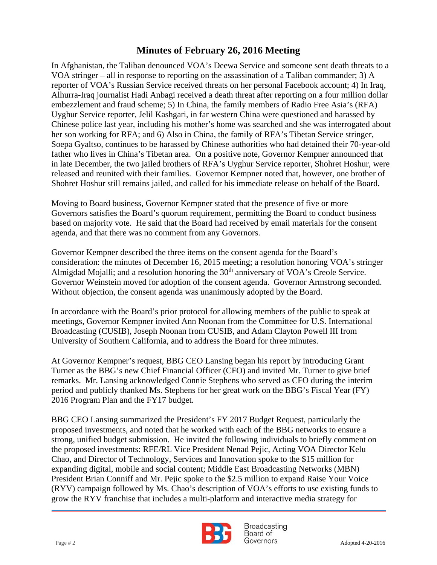embezzlement and fraud scheme; 5) In China, the family members of Radio Free Asia's (RFA) In Afghanistan, the Taliban denounced VOA's Deewa Service and someone sent death threats to a VOA stringer – all in response to reporting on the assassination of a Taliban commander; 3) A reporter of VOA's Russian Service received threats on her personal Facebook account; 4) In Iraq, Alhurra-Iraq journalist Hadi Anbagi received a death threat after reporting on a four million dollar Uyghur Service reporter, Jelil Kashgari, in far western China were questioned and harassed by Chinese police last year, including his mother's home was searched and she was interrogated about her son working for RFA; and 6) Also in China, the family of RFA's Tibetan Service stringer, Soepa Gyaltso, continues to be harassed by Chinese authorities who had detained their 70-year-old father who lives in China's Tibetan area. On a positive note, Governor Kempner announced that in late December, the two jailed brothers of RFA's Uyghur Service reporter, Shohret Hoshur, were released and reunited with their families. Governor Kempner noted that, however, one brother of Shohret Hoshur still remains jailed, and called for his immediate release on behalf of the Board.

Moving to Board business, Governor Kempner stated that the presence of five or more Governors satisfies the Board's quorum requirement, permitting the Board to conduct business based on majority vote. He said that the Board had received by email materials for the consent agenda, and that there was no comment from any Governors.

Governor Kempner described the three items on the consent agenda for the Board's consideration: the minutes of December 16, 2015 meeting; a resolution honoring VOA's stringer Almigdad Mojalli; and a resolution honoring the 30<sup>th</sup> anniversary of VOA's Creole Service. Governor Weinstein moved for adoption of the consent agenda. Governor Armstrong seconded. Without objection, the consent agenda was unanimously adopted by the Board.

In accordance with the Board's prior protocol for allowing members of the public to speak at meetings, Governor Kempner invited Ann Noonan from the Committee for U.S. International Broadcasting (CUSIB), Joseph Noonan from CUSIB, and Adam Clayton Powell III from University of Southern California, and to address the Board for three minutes.

At Governor Kempner's request, BBG CEO Lansing began his report by introducing Grant Turner as the BBG's new Chief Financial Officer (CFO) and invited Mr. Turner to give brief remarks. Mr. Lansing acknowledged Connie Stephens who served as CFO during the interim period and publicly thanked Ms. Stephens for her great work on the BBG's Fiscal Year (FY) 2016 Program Plan and the FY17 budget.

BBG CEO Lansing summarized the President's FY 2017 Budget Request, particularly the proposed investments, and noted that he worked with each of the BBG networks to ensure a strong, unified budget submission. He invited the following individuals to briefly comment on the proposed investments: RFE/RL Vice President Nenad Pejic, Acting VOA Director Kelu Chao, and Director of Technology, Services and Innovation spoke to the \$15 million for expanding digital, mobile and social content; Middle East Broadcasting Networks (MBN) President Brian Conniff and Mr. Pejic spoke to the \$2.5 million to expand Raise Your Voice (RYV) campaign followed by Ms. Chao's description of VOA's efforts to use existing funds to grow the RYV franchise that includes a multi-platform and interactive media strategy for



**Broadcasting** Board of Page # 2 Adopted 4-20-2016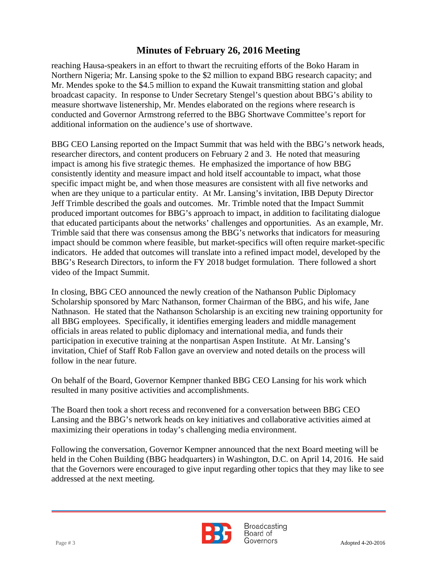measure shortwave listenership, Mr. Mendes elaborated on the regions where research is reaching Hausa-speakers in an effort to thwart the recruiting efforts of the Boko Haram in Northern Nigeria; Mr. Lansing spoke to the \$2 million to expand BBG research capacity; and Mr. Mendes spoke to the \$4.5 million to expand the Kuwait transmitting station and global broadcast capacity. In response to Under Secretary Stengel's question about BBG's ability to conducted and Governor Armstrong referred to the BBG Shortwave Committee's report for additional information on the audience's use of shortwave.

BBG CEO Lansing reported on the Impact Summit that was held with the BBG's network heads, researcher directors, and content producers on February 2 and 3. He noted that measuring impact is among his five strategic themes. He emphasized the importance of how BBG consistently identity and measure impact and hold itself accountable to impact, what those specific impact might be, and when those measures are consistent with all five networks and when are they unique to a particular entity. At Mr. Lansing's invitation, IBB Deputy Director Jeff Trimble described the goals and outcomes. Mr. Trimble noted that the Impact Summit produced important outcomes for BBG's approach to impact, in addition to facilitating dialogue that educated participants about the networks' challenges and opportunities. As an example, Mr. Trimble said that there was consensus among the BBG's networks that indicators for measuring impact should be common where feasible, but market-specifics will often require market-specific indicators. He added that outcomes will translate into a refined impact model, developed by the BBG's Research Directors, to inform the FY 2018 budget formulation. There followed a short video of the Impact Summit.

In closing, BBG CEO announced the newly creation of the Nathanson Public Diplomacy Scholarship sponsored by Marc Nathanson, former Chairman of the BBG, and his wife, Jane Nathnason. He stated that the Nathanson Scholarship is an exciting new training opportunity for all BBG employees. Specifically, it identifies emerging leaders and middle management officials in areas related to public diplomacy and international media, and funds their participation in executive training at the nonpartisan Aspen Institute. At Mr. Lansing's invitation, Chief of Staff Rob Fallon gave an overview and noted details on the process will follow in the near future.

On behalf of the Board, Governor Kempner thanked BBG CEO Lansing for his work which resulted in many positive activities and accomplishments.

The Board then took a short recess and reconvened for a conversation between BBG CEO Lansing and the BBG's network heads on key initiatives and collaborative activities aimed at maximizing their operations in today's challenging media environment.

Following the conversation, Governor Kempner announced that the next Board meeting will be held in the Cohen Building (BBG headquarters) in Washington, D.C. on April 14, 2016. He said that the Governors were encouraged to give input regarding other topics that they may like to see addressed at the next meeting.



**Broadcasting** Board of Page # 3 Adopted 4-20-2016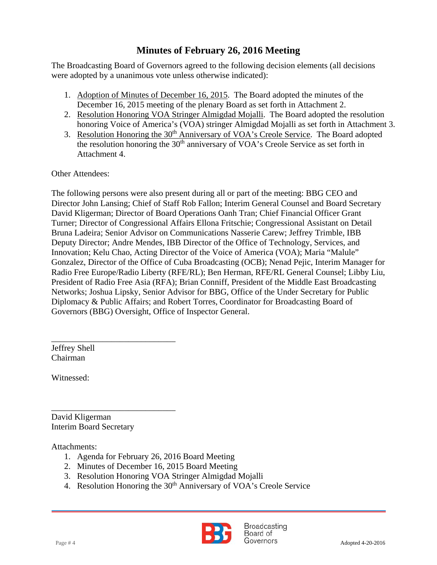The Broadcasting Board of Governors agreed to the following decision elements (all decisions were adopted by a unanimous vote unless otherwise indicated):

- 1. Adoption of Minutes of December 16, 2015. The Board adopted the minutes of the December 16, 2015 meeting of the plenary Board as set forth in Attachment 2.
- 2. Resolution Honoring VOA Stringer Almigdad Mojalli. The Board adopted the resolution honoring Voice of America's (VOA) stringer Almigdad Mojalli as set forth in Attachment 3.
- 3. Resolution Honoring the 30<sup>th</sup> Anniversary of VOA's Creole Service. The Board adopted the resolution honoring the 30<sup>th</sup> anniversary of VOA's Creole Service as set forth in Attachment 4.

Other Attendees:

The following persons were also present during all or part of the meeting: BBG CEO and Director John Lansing; Chief of Staff Rob Fallon; Interim General Counsel and Board Secretary David Kligerman; Director of Board Operations Oanh Tran; Chief Financial Officer Grant Turner; Director of Congressional Affairs Ellona Fritschie; Congressional Assistant on Detail Bruna Ladeira; Senior Advisor on Communications Nasserie Carew; Jeffrey Trimble, IBB Deputy Director; Andre Mendes, IBB Director of the Office of Technology, Services, and Innovation; Kelu Chao, Acting Director of the Voice of America (VOA); Maria "Malule" Gonzalez, Director of the Office of Cuba Broadcasting (OCB); Nenad Pejic, Interim Manager for Radio Free Europe/Radio Liberty (RFE/RL); Ben Herman, RFE/RL General Counsel; Libby Liu, President of Radio Free Asia (RFA); Brian Conniff, President of the Middle East Broadcasting Networks; Joshua Lipsky, Senior Advisor for BBG, Office of the Under Secretary for Public Diplomacy & Public Affairs; and Robert Torres, Coordinator for Broadcasting Board of Governors (BBG) Oversight, Office of Inspector General.

Jeffrey Shell Chairman

Witnessed:

David Kligerman Interim Board Secretary

\_\_\_\_\_\_\_\_\_\_\_\_\_\_\_\_\_\_\_\_\_\_\_\_\_\_\_\_\_

\_\_\_\_\_\_\_\_\_\_\_\_\_\_\_\_\_\_\_\_\_\_\_\_\_\_\_\_\_

Attachments:

- 1. Agenda for February 26, 2016 Board Meeting
- 2. Minutes of December 16, 2015 Board Meeting
- 3. Resolution Honoring VOA Stringer Almigdad Mojalli
- 4. Resolution Honoring the 30<sup>th</sup> Anniversary of VOA's Creole Service

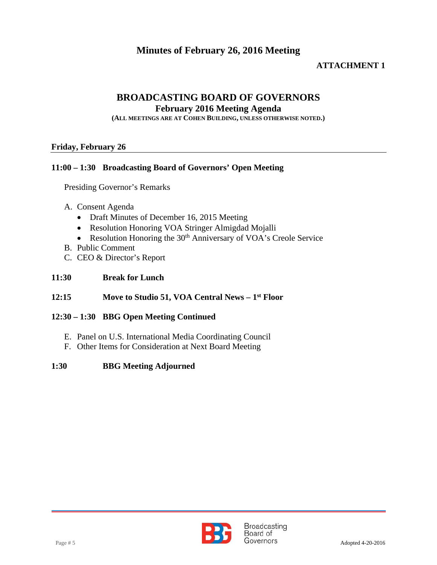### **ATTACHMENT 1**

### **BROADCASTING BOARD OF GOVERNORS**

#### **February 2016 Meeting Agenda**

**(ALL MEETINGS ARE AT COHEN BUILDING, UNLESS OTHERWISE NOTED.)**

#### **Friday, February 26**

#### **11:00 – 1:30 Broadcasting Board of Governors' Open Meeting**

Presiding Governor's Remarks

#### A. Consent Agenda

- Draft Minutes of December 16, 2015 Meeting
- Resolution Honoring VOA Stringer Almigdad Mojalli
- Resolution Honoring the 30<sup>th</sup> Anniversary of VOA's Creole Service
- B. Public Comment
- C. CEO & Director's Report

#### **11:30 Break for Lunch**

#### **12:15 Move to Studio 51, VOA Central News – 1st Floor**

#### **12:30 – 1:30 BBG Open Meeting Continued**

- E. Panel on U.S. International Media Coordinating Council
- F. Other Items for Consideration at Next Board Meeting

#### **1:30 BBG Meeting Adjourned**

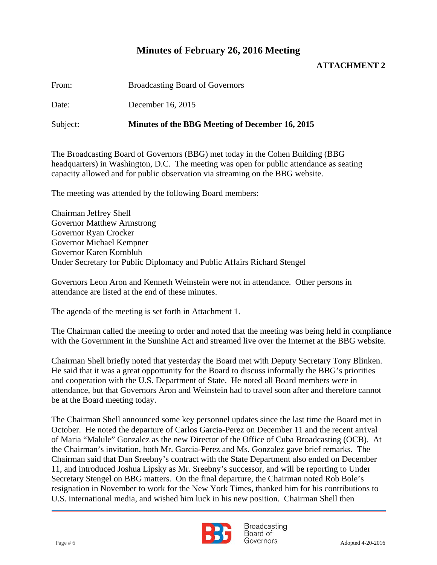#### **ATTACHMENT 2**

From: Broadcasting Board of Governors

Date: December 16, 2015

Subject: **Minutes of the BBG Meeting of December 16, 2015**

The Broadcasting Board of Governors (BBG) met today in the Cohen Building (BBG headquarters) in Washington, D.C. The meeting was open for public attendance as seating capacity allowed and for public observation via streaming on the BBG website.

The meeting was attended by the following Board members:

Chairman Jeffrey Shell Governor Matthew Armstrong Governor Ryan Crocker Governor Michael Kempner Governor Karen Kornbluh Under Secretary for Public Diplomacy and Public Affairs Richard Stengel

Governors Leon Aron and Kenneth Weinstein were not in attendance. Other persons in attendance are listed at the end of these minutes.

The agenda of the meeting is set forth in Attachment 1.

The Chairman called the meeting to order and noted that the meeting was being held in compliance with the Government in the Sunshine Act and streamed live over the Internet at the BBG website.

Chairman Shell briefly noted that yesterday the Board met with Deputy Secretary Tony Blinken. He said that it was a great opportunity for the Board to discuss informally the BBG's priorities and cooperation with the U.S. Department of State. He noted all Board members were in attendance, but that Governors Aron and Weinstein had to travel soon after and therefore cannot be at the Board meeting today.

The Chairman Shell announced some key personnel updates since the last time the Board met in October. He noted the departure of Carlos Garcia-Perez on December 11 and the recent arrival of Maria "Malule" Gonzalez as the new Director of the Office of Cuba Broadcasting (OCB). At the Chairman's invitation, both Mr. Garcia-Perez and Ms. Gonzalez gave brief remarks. The Chairman said that Dan Sreebny's contract with the State Department also ended on December 11, and introduced Joshua Lipsky as Mr. Sreebny's successor, and will be reporting to Under Secretary Stengel on BBG matters. On the final departure, the Chairman noted Rob Bole's resignation in November to work for the New York Times, thanked him for his contributions to U.S. international media, and wished him luck in his new position. Chairman Shell then



**Broadcasting** Board of Page # 6 Adopted 4-20-2016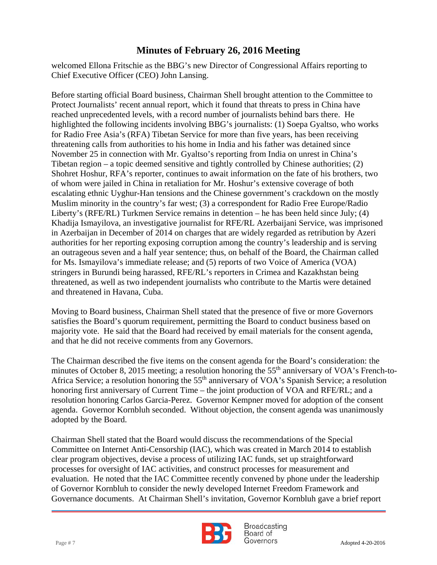welcomed Ellona Fritschie as the BBG's new Director of Congressional Affairs reporting to Chief Executive Officer (CEO) John Lansing.

 Protect Journalists' recent annual report, which it found that threats to press in China have Before starting official Board business, Chairman Shell brought attention to the Committee to reached unprecedented levels, with a record number of journalists behind bars there. He highlighted the following incidents involving BBG's journalists: (1) Soepa Gyaltso, who works for Radio Free Asia's (RFA) Tibetan Service for more than five years, has been receiving threatening calls from authorities to his home in India and his father was detained since November 25 in connection with Mr. Gyaltso's reporting from India on unrest in China's Tibetan region – a topic deemed sensitive and tightly controlled by Chinese authorities; (2) Shohret Hoshur, RFA's reporter, continues to await information on the fate of his brothers, two of whom were jailed in China in retaliation for Mr. Hoshur's extensive coverage of both escalating ethnic Uyghur-Han tensions and the Chinese government's crackdown on the mostly Muslim minority in the country's far west; (3) a correspondent for Radio Free Europe/Radio Liberty's (RFE/RL) Turkmen Service remains in detention – he has been held since July; (4) Khadija Ismayilova, an investigative journalist for RFE/RL Azerbaijani Service, was imprisoned in Azerbaijan in December of 2014 on charges that are widely regarded as retribution by Azeri authorities for her reporting exposing corruption among the country's leadership and is serving an outrageous seven and a half year sentence; thus, on behalf of the Board, the Chairman called for Ms. Ismayilova's immediate release; and (5) reports of two Voice of America (VOA) stringers in Burundi being harassed, RFE/RL's reporters in Crimea and Kazakhstan being threatened, as well as two independent journalists who contribute to the Martis were detained and threatened in Havana, Cuba.

Moving to Board business, Chairman Shell stated that the presence of five or more Governors satisfies the Board's quorum requirement, permitting the Board to conduct business based on majority vote. He said that the Board had received by email materials for the consent agenda, and that he did not receive comments from any Governors.

The Chairman described the five items on the consent agenda for the Board's consideration: the minutes of October 8, 2015 meeting; a resolution honoring the 55<sup>th</sup> anniversary of VOA's French-to-Africa Service; a resolution honoring the 55<sup>th</sup> anniversary of VOA's Spanish Service; a resolution honoring first anniversary of Current Time – the joint production of VOA and RFE/RL; and a resolution honoring Carlos Garcia-Perez. Governor Kempner moved for adoption of the consent agenda. Governor Kornbluh seconded. Without objection, the consent agenda was unanimously adopted by the Board.

Chairman Shell stated that the Board would discuss the recommendations of the Special Committee on Internet Anti-Censorship (IAC), which was created in March 2014 to establish clear program objectives, devise a process of utilizing IAC funds, set up straightforward processes for oversight of IAC activities, and construct processes for measurement and evaluation. He noted that the IAC Committee recently convened by phone under the leadership of Governor Kornbluh to consider the newly developed Internet Freedom Framework and Governance documents. At Chairman Shell's invitation, Governor Kornbluh gave a brief report



**Broadcasting** Board of Page # 7 Adopted 4-20-2016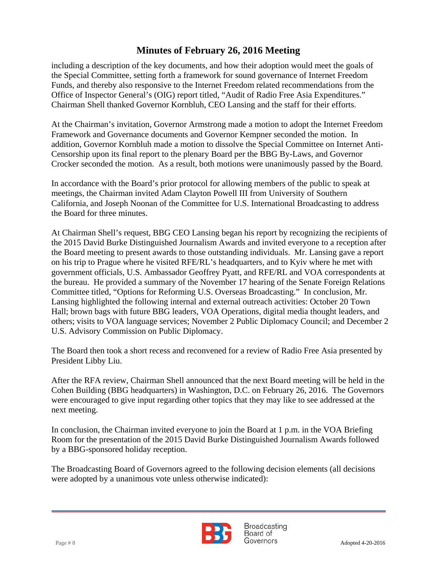Chairman Shell thanked Governor Kornbluh, CEO Lansing and the staff for their efforts. including a description of the key documents, and how their adoption would meet the goals of the Special Committee, setting forth a framework for sound governance of Internet Freedom Funds, and thereby also responsive to the Internet Freedom related recommendations from the Office of Inspector General's (OIG) report titled, "Audit of Radio Free Asia Expenditures."

At the Chairman's invitation, Governor Armstrong made a motion to adopt the Internet Freedom Framework and Governance documents and Governor Kempner seconded the motion. In addition, Governor Kornbluh made a motion to dissolve the Special Committee on Internet Anti-Censorship upon its final report to the plenary Board per the BBG By-Laws, and Governor Crocker seconded the motion. As a result, both motions were unanimously passed by the Board.

In accordance with the Board's prior protocol for allowing members of the public to speak at meetings, the Chairman invited Adam Clayton Powell III from University of Southern California, and Joseph Noonan of the Committee for U.S. International Broadcasting to address the Board for three minutes.

At Chairman Shell's request, BBG CEO Lansing began his report by recognizing the recipients of the 2015 David Burke Distinguished Journalism Awards and invited everyone to a reception after the Board meeting to present awards to those outstanding individuals. Mr. Lansing gave a report on his trip to Prague where he visited RFE/RL's headquarters, and to Kyiv where he met with government officials, U.S. Ambassador Geoffrey Pyatt, and RFE/RL and VOA correspondents at the bureau. He provided a summary of the November 17 hearing of the Senate Foreign Relations Committee titled, "Options for Reforming U.S. Overseas Broadcasting." In conclusion, Mr. Lansing highlighted the following internal and external outreach activities: October 20 Town Hall; brown bags with future BBG leaders, VOA Operations, digital media thought leaders, and others; visits to VOA language services; November 2 Public Diplomacy Council; and December 2 U.S. Advisory Commission on Public Diplomacy.

The Board then took a short recess and reconvened for a review of Radio Free Asia presented by President Libby Liu.

After the RFA review, Chairman Shell announced that the next Board meeting will be held in the Cohen Building (BBG headquarters) in Washington, D.C. on February 26, 2016. The Governors were encouraged to give input regarding other topics that they may like to see addressed at the next meeting.

In conclusion, the Chairman invited everyone to join the Board at 1 p.m. in the VOA Briefing Room for the presentation of the 2015 David Burke Distinguished Journalism Awards followed by a BBG-sponsored holiday reception.

The Broadcasting Board of Governors agreed to the following decision elements (all decisions were adopted by a unanimous vote unless otherwise indicated):



Broadcasting Board of Page # 8 Adopted 4-20-2016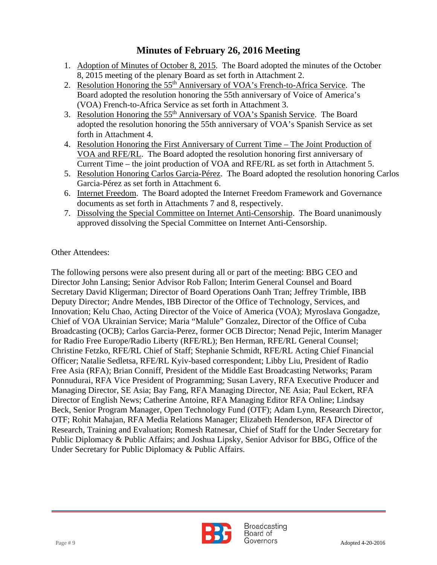- 1. Adoption of Minutes of October 8, 2015. The Board adopted the minutes of the October 8, 2015 meeting of the plenary Board as set forth in Attachment 2.
- 2. Resolution Honoring the 55<sup>th</sup> Anniversary of VOA's French-to-Africa Service. The Board adopted the resolution honoring the 55th anniversary of Voice of America's (VOA) French-to-Africa Service as set forth in Attachment 3.
- 3. Resolution Honoring the 55<sup>th</sup> Anniversary of VOA's Spanish Service. The Board adopted the resolution honoring the 55th anniversary of VOA's Spanish Service as set forth in Attachment 4.
- 4. Resolution Honoring the First Anniversary of Current Time The Joint Production of VOA and RFE/RL. The Board adopted the resolution honoring first anniversary of Current Time – the joint production of VOA and RFE/RL as set forth in Attachment 5.
- 5. Resolution Honoring Carlos Garcia-Pérez. The Board adopted the resolution honoring Carlos Garcia-Pérez as set forth in Attachment 6.
- 6. Internet Freedom. The Board adopted the Internet Freedom Framework and Governance documents as set forth in Attachments 7 and 8, respectively.
- 7. Dissolving the Special Committee on Internet Anti-Censorship. The Board unanimously approved dissolving the Special Committee on Internet Anti-Censorship.

#### Other Attendees:

The following persons were also present during all or part of the meeting: BBG CEO and Director John Lansing; Senior Advisor Rob Fallon; Interim General Counsel and Board Secretary David Kligerman; Director of Board Operations Oanh Tran; Jeffrey Trimble, IBB Deputy Director; Andre Mendes, IBB Director of the Office of Technology, Services, and Innovation; Kelu Chao, Acting Director of the Voice of America (VOA); Myroslava Gongadze, Chief of VOA Ukrainian Service; Maria "Malule" Gonzalez, Director of the Office of Cuba Broadcasting (OCB); Carlos Garcia-Perez, former OCB Director; Nenad Pejic, Interim Manager for Radio Free Europe/Radio Liberty (RFE/RL); Ben Herman, RFE/RL General Counsel; Christine Fetzko, RFE/RL Chief of Staff; Stephanie Schmidt, RFE/RL Acting Chief Financial Officer; Natalie Sedletsa, RFE/RL Kyiv-based correspondent; Libby Liu, President of Radio Free Asia (RFA); Brian Conniff, President of the Middle East Broadcasting Networks; Param Ponnudurai, RFA Vice President of Programming; Susan Lavery, RFA Executive Producer and Managing Director, SE Asia; Bay Fang, RFA Managing Director, NE Asia; Paul Eckert, RFA Director of English News; Catherine Antoine, RFA Managing Editor RFA Online; Lindsay Beck, Senior Program Manager, Open Technology Fund (OTF); Adam Lynn, Research Director, OTF; Rohit Mahajan, RFA Media Relations Manager; Elizabeth Henderson, RFA Director of Research, Training and Evaluation; Romesh Ratnesar, Chief of Staff for the Under Secretary for Public Diplomacy & Public Affairs; and Joshua Lipsky, Senior Advisor for BBG, Office of the Under Secretary for Public Diplomacy & Public Affairs.

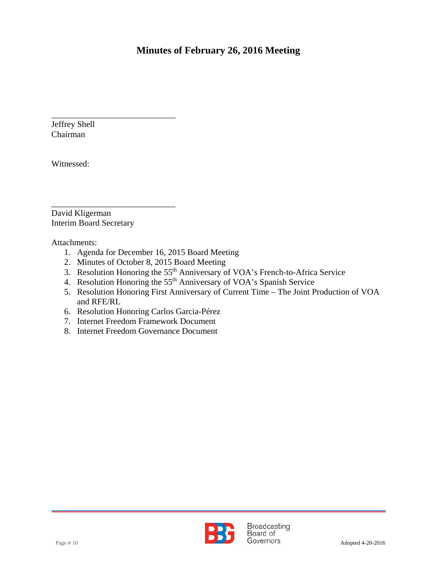Jeffrey Shell Chairman

Witnessed:

David Kligerman Interim Board Secretary

\_\_\_\_\_\_\_\_\_\_\_\_\_\_\_\_\_\_\_\_\_\_\_\_\_\_\_\_\_

\_\_\_\_\_\_\_\_\_\_\_\_\_\_\_\_\_\_\_\_\_\_\_\_\_\_\_\_\_

Attachments:

- 1. Agenda for December 16, 2015 Board Meeting
- 2. Minutes of October 8, 2015 Board Meeting
- 3. Resolution Honoring the 55<sup>th</sup> Anniversary of VOA's French-to-Africa Service
- 4. Resolution Honoring the 55<sup>th</sup> Anniversary of VOA's Spanish Service
- 5. Resolution Honoring First Anniversary of Current Time The Joint Production of VOA and RFE/RL
- 6. Resolution Honoring Carlos Garcia-Pérez
- 7. Internet Freedom Framework Document
- 8. Internet Freedom Governance Document

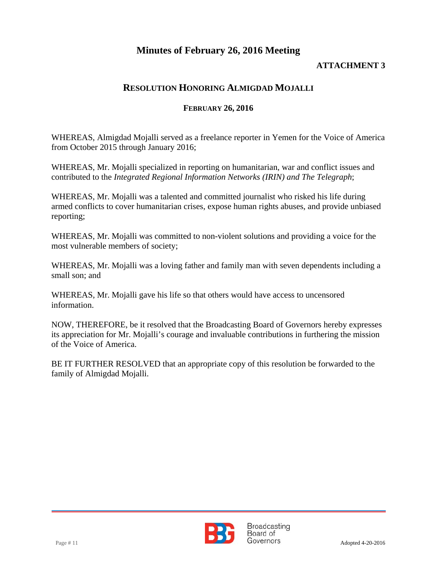### **ATTACHMENT 3**

### **RESOLUTION HONORING ALMIGDAD MOJALLI**

### **FEBRUARY 26, 2016**

WHEREAS, Almigdad Mojalli served as a freelance reporter in Yemen for the Voice of America from October 2015 through January 2016;

WHEREAS, Mr. Mojalli specialized in reporting on humanitarian, war and conflict issues and contributed to the *Integrated Regional Information Networks (IRIN) and The Telegraph*;

WHEREAS, Mr. Mojalli was a talented and committed journalist who risked his life during armed conflicts to cover humanitarian crises, expose human rights abuses, and provide unbiased reporting;

WHEREAS, Mr. Mojalli was committed to non-violent solutions and providing a voice for the most vulnerable members of society;

WHEREAS, Mr. Mojalli was a loving father and family man with seven dependents including a small son; and

WHEREAS, Mr. Mojalli gave his life so that others would have access to uncensored information.

NOW, THEREFORE, be it resolved that the Broadcasting Board of Governors hereby expresses its appreciation for Mr. Mojalli's courage and invaluable contributions in furthering the mission of the Voice of America.

BE IT FURTHER RESOLVED that an appropriate copy of this resolution be forwarded to the family of Almigdad Mojalli.